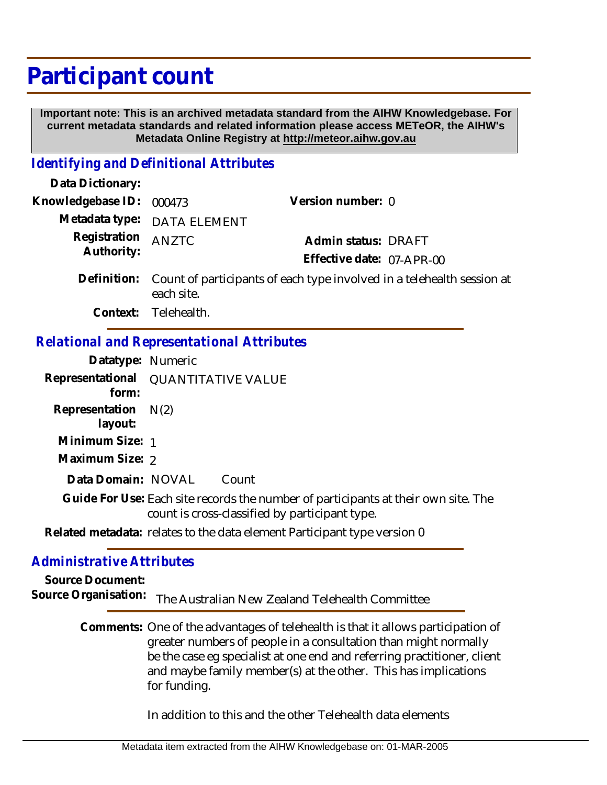# **Participant count**

 **Important note: This is an archived metadata standard from the AIHW Knowledgebase. For current metadata standards and related information please access METeOR, the AIHW's Metadata Online Registry at http://meteor.aihw.gov.au**

### *Identifying and Definitional Attributes*

| Data Dictionary:           |                                                                                                  |                           |  |
|----------------------------|--------------------------------------------------------------------------------------------------|---------------------------|--|
| Knowledgebase ID: 000473   |                                                                                                  | Version number: 0         |  |
|                            | Metadata type: DATA ELEMENT                                                                      |                           |  |
| Registration<br>Authority: | <b>ANZTC</b>                                                                                     | Admin status: DRAFT       |  |
|                            |                                                                                                  | Effective date: 07-APR-00 |  |
|                            | Definition: Count of participants of each type involved in a telehealth session at<br>each site. |                           |  |

**Context:** Telehealth.

## *Relational and Representational Attributes*

| Datatype: Numeric                   |                                                                                                                                      |
|-------------------------------------|--------------------------------------------------------------------------------------------------------------------------------------|
| Representational QUANTITATIVE VALUE |                                                                                                                                      |
| form:                               |                                                                                                                                      |
| Representation $N(2)$               |                                                                                                                                      |
| layout:                             |                                                                                                                                      |
| Minimum Size: 1                     |                                                                                                                                      |
| Maximum Size: 2                     |                                                                                                                                      |
| Data Domain: NOVAL                  | Count                                                                                                                                |
|                                     | Guide For Use: Each site records the number of participants at their own site. The<br>count is cross-classified by participant type. |
|                                     | Related metadata: relates to the data element Participant type version 0                                                             |

### *Administrative Attributes*

**Source Document:** Source Organisation: The Australian New Zealand Telehealth Committee

> Comments: One of the advantages of telehealth is that it allows participation of greater numbers of people in a consultation than might normally be the case eg specialist at one end and referring practitioner, client and maybe family member(s) at the other. This has implications for funding.

> > In addition to this and the other Telehealth data elements